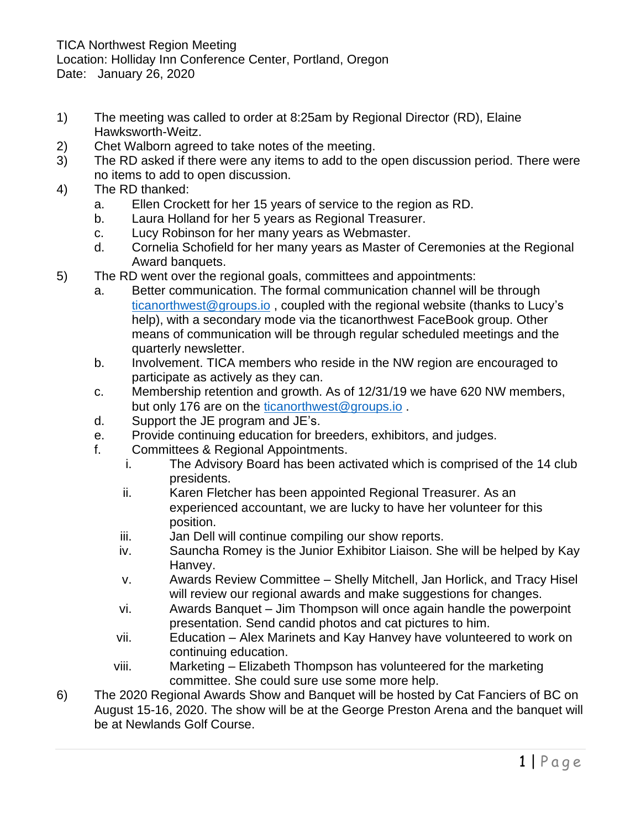TICA Northwest Region Meeting

Location: Holliday Inn Conference Center, Portland, Oregon

Date: January 26, 2020

- 1) The meeting was called to order at 8:25am by Regional Director (RD), Elaine Hawksworth-Weitz.
- 2) Chet Walborn agreed to take notes of the meeting.
- 3) The RD asked if there were any items to add to the open discussion period. There were no items to add to open discussion.
- 4) The RD thanked:
	- a. Ellen Crockett for her 15 years of service to the region as RD.
	- b. Laura Holland for her 5 years as Regional Treasurer.
	- c. Lucy Robinson for her many years as Webmaster.
	- d. Cornelia Schofield for her many years as Master of Ceremonies at the Regional Award banquets.
- 5) The RD went over the regional goals, committees and appointments:
	- a. Better communication. The formal communication channel will be through [ticanorthwest@groups.io](mailto:ticanorthwest@groups.io) , coupled with the regional website (thanks to Lucy's help), with a secondary mode via the ticanorthwest FaceBook group. Other means of communication will be through regular scheduled meetings and the quarterly newsletter.
	- b. Involvement. TICA members who reside in the NW region are encouraged to participate as actively as they can.
	- c. Membership retention and growth. As of 12/31/19 we have 620 NW members, but only 176 are on the [ticanorthwest@groups.io](mailto:ticanorthwest@groups.io).
	- d. Support the JE program and JE's.
	- e. Provide continuing education for breeders, exhibitors, and judges.
	- f. Committees & Regional Appointments.
		- i. The Advisory Board has been activated which is comprised of the 14 club presidents.
		- ii. Karen Fletcher has been appointed Regional Treasurer. As an experienced accountant, we are lucky to have her volunteer for this position.
		- iii. Jan Dell will continue compiling our show reports.
		- iv. Sauncha Romey is the Junior Exhibitor Liaison. She will be helped by Kay Hanvey.
		- v. Awards Review Committee Shelly Mitchell, Jan Horlick, and Tracy Hisel will review our regional awards and make suggestions for changes.
		- vi. Awards Banquet Jim Thompson will once again handle the powerpoint presentation. Send candid photos and cat pictures to him.
		- vii. Education Alex Marinets and Kay Hanvey have volunteered to work on continuing education.
		- viii. Marketing Elizabeth Thompson has volunteered for the marketing committee. She could sure use some more help.
- 6) The 2020 Regional Awards Show and Banquet will be hosted by Cat Fanciers of BC on August 15-16, 2020. The show will be at the George Preston Arena and the banquet will be at Newlands Golf Course.